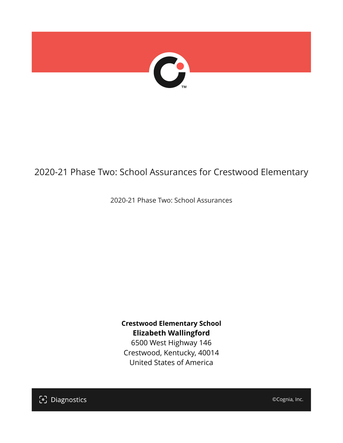

# 2020-21 Phase Two: School Assurances for Crestwood Elementary

2020-21 Phase Two: School Assurances

**Crestwood Elementary School Elizabeth Wallingford** 6500 West Highway 146 Crestwood, Kentucky, 40014 United States of America

[၁] Diagnostics

©Cognia, Inc.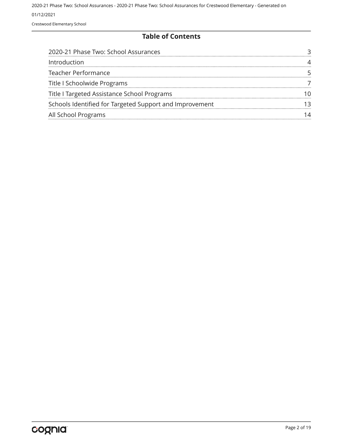Crestwood Elementary School

### **Table of Contents**

| 2020-21 Phase Two: School Assurances                    |  |
|---------------------------------------------------------|--|
| Introduction                                            |  |
| Teacher Performance                                     |  |
| Title I Schoolwide Programs                             |  |
| Title I Targeted Assistance School Programs             |  |
| Schools Identified for Targeted Support and Improvement |  |
| All School Programs                                     |  |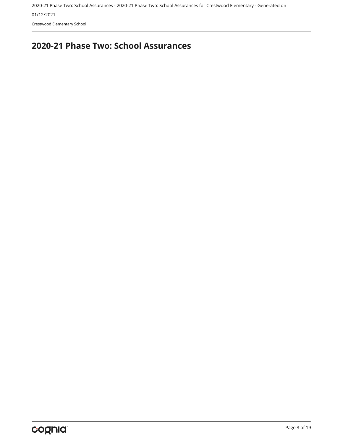01/12/2021

Crestwood Elementary School

## <span id="page-2-0"></span>**2020-21 Phase Two: School Assurances**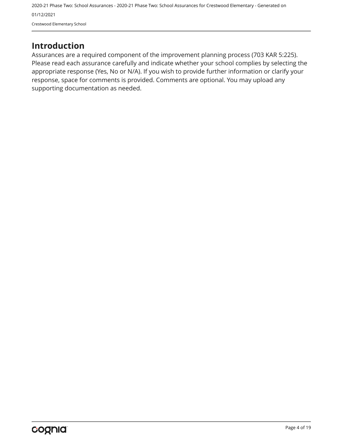### <span id="page-3-0"></span>**Introduction**

Assurances are a required component of the improvement planning process (703 KAR 5:225). Please read each assurance carefully and indicate whether your school complies by selecting the appropriate response (Yes, No or N/A). If you wish to provide further information or clarify your response, space for comments is provided. Comments are optional. You may upload any supporting documentation as needed.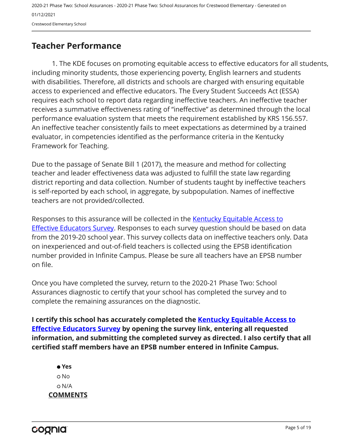#### Crestwood Elementary School

### <span id="page-4-0"></span>**Teacher Performance**

1. The KDE focuses on promoting equitable access to effective educators for all students, including minority students, those experiencing poverty, English learners and students with disabilities. Therefore, all districts and schools are charged with ensuring equitable access to experienced and effective educators. The Every Student Succeeds Act (ESSA) requires each school to report data regarding ineffective teachers. An ineffective teacher receives a summative effectiveness rating of "ineffective" as determined through the local performance evaluation system that meets the requirement established by KRS 156.557. An ineffective teacher consistently fails to meet expectations as determined by a trained evaluator, in competencies identified as the performance criteria in the Kentucky Framework for Teaching.

Due to the passage of Senate Bill 1 (2017), the measure and method for collecting teacher and leader effectiveness data was adjusted to fulfill the state law regarding district reporting and data collection. Number of students taught by ineffective teachers is self-reported by each school, in aggregate, by subpopulation. Names of ineffective teachers are not provided/collected.

Responses to this assurance will be collected in the [Kentucky Equitable Access to](https://www.surveymonkey.com/r/PNPMCCV) **[Effective Educators Survey](https://www.surveymonkey.com/r/PNPMCCV).** Responses to each survey question should be based on data from the 2019-20 school year. This survey collects data on ineffective teachers only. Data on inexperienced and out-of-field teachers is collected using the EPSB identification number provided in Infinite Campus. Please be sure all teachers have an EPSB number on file.

Once you have completed the survey, return to the 2020-21 Phase Two: School Assurances diagnostic to certify that your school has completed the survey and to complete the remaining assurances on the diagnostic.

**I certify this school has accurately completed the [Kentucky Equitable Access to](https://www.surveymonkey.com/r/PNPMCCV) [Effective Educators Survey](https://www.surveymonkey.com/r/PNPMCCV) by opening the survey link, entering all requested information, and submitting the completed survey as directed. I also certify that all certified staff members have an EPSB number entered in Infinite Campus.**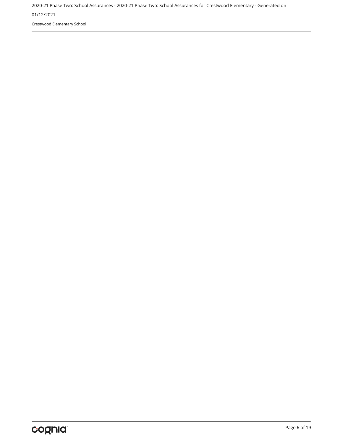Crestwood Elementary School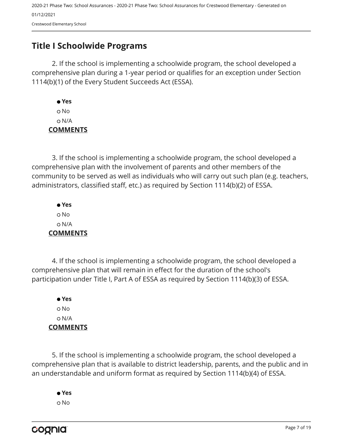### <span id="page-6-0"></span>**Title I Schoolwide Programs**

2. If the school is implementing a schoolwide program, the school developed a comprehensive plan during a 1-year period or qualifies for an exception under Section 1114(b)(1) of the Every Student Succeeds Act (ESSA).

 **Yes** o No N/A **COMMENTS**

3. If the school is implementing a schoolwide program, the school developed a comprehensive plan with the involvement of parents and other members of the community to be served as well as individuals who will carry out such plan (e.g. teachers, administrators, classified staff, etc.) as required by Section 1114(b)(2) of ESSA.

 **Yes** No N/A **COMMENTS**

4. If the school is implementing a schoolwide program, the school developed a comprehensive plan that will remain in effect for the duration of the school's participation under Title I, Part A of ESSA as required by Section 1114(b)(3) of ESSA.

 **Yes** No N/A **COMMENTS**

5. If the school is implementing a schoolwide program, the school developed a comprehensive plan that is available to district leadership, parents, and the public and in an understandable and uniform format as required by Section 1114(b)(4) of ESSA.

 **Yes** o No

cognia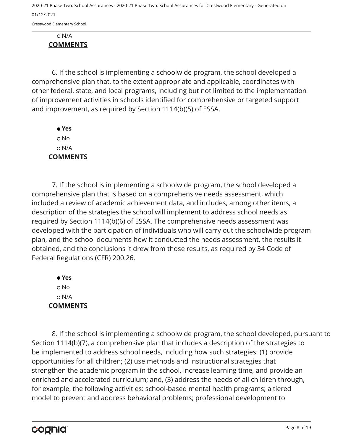Crestwood Elementary School

#### N/A **COMMENTS**

6. If the school is implementing a schoolwide program, the school developed a comprehensive plan that, to the extent appropriate and applicable, coordinates with other federal, state, and local programs, including but not limited to the implementation of improvement activities in schools identified for comprehensive or targeted support and improvement, as required by Section 1114(b)(5) of ESSA.

 **Yes** No N/A **COMMENTS**

7. If the school is implementing a schoolwide program, the school developed a comprehensive plan that is based on a comprehensive needs assessment, which included a review of academic achievement data, and includes, among other items, a description of the strategies the school will implement to address school needs as required by Section 1114(b)(6) of ESSA. The comprehensive needs assessment was developed with the participation of individuals who will carry out the schoolwide program plan, and the school documents how it conducted the needs assessment, the results it obtained, and the conclusions it drew from those results, as required by 34 Code of Federal Regulations (CFR) 200.26.

 **Yes** No N/A **COMMENTS**

8. If the school is implementing a schoolwide program, the school developed, pursuant to Section 1114(b)(7), a comprehensive plan that includes a description of the strategies to be implemented to address school needs, including how such strategies: (1) provide opportunities for all children; (2) use methods and instructional strategies that strengthen the academic program in the school, increase learning time, and provide an enriched and accelerated curriculum; and, (3) address the needs of all children through, for example, the following activities: school-based mental health programs; a tiered model to prevent and address behavioral problems; professional development to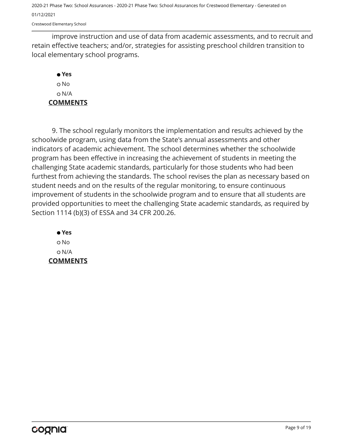Crestwood Elementary School

improve instruction and use of data from academic assessments, and to recruit and retain effective teachers; and/or, strategies for assisting preschool children transition to local elementary school programs.

### **Yes** o No N/A **COMMENTS**

9. The school regularly monitors the implementation and results achieved by the schoolwide program, using data from the State's annual assessments and other indicators of academic achievement. The school determines whether the schoolwide program has been effective in increasing the achievement of students in meeting the challenging State academic standards, particularly for those students who had been furthest from achieving the standards. The school revises the plan as necessary based on student needs and on the results of the regular monitoring, to ensure continuous improvement of students in the schoolwide program and to ensure that all students are provided opportunities to meet the challenging State academic standards, as required by Section 1114 (b)(3) of ESSA and 34 CFR 200.26.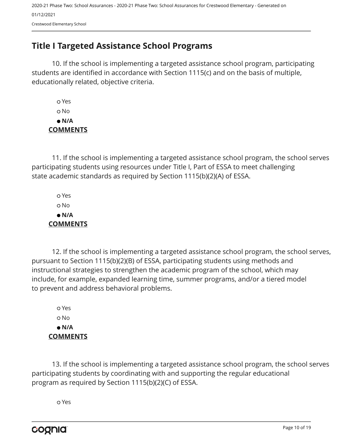### <span id="page-9-0"></span>**Title I Targeted Assistance School Programs**

10. If the school is implementing a targeted assistance school program, participating students are identified in accordance with Section 1115(c) and on the basis of multiple, educationally related, objective criteria.

 Yes o No  **N/A COMMENTS**

11. If the school is implementing a targeted assistance school program, the school serves participating students using resources under Title I, Part of ESSA to meet challenging state academic standards as required by Section 1115(b)(2)(A) of ESSA.

 Yes No  **N/A COMMENTS**

12. If the school is implementing a targeted assistance school program, the school serves, pursuant to Section 1115(b)(2)(B) of ESSA, participating students using methods and instructional strategies to strengthen the academic program of the school, which may include, for example, expanded learning time, summer programs, and/or a tiered model to prevent and address behavioral problems.

 Yes o No  **N/A COMMENTS**

13. If the school is implementing a targeted assistance school program, the school serves participating students by coordinating with and supporting the regular educational program as required by Section 1115(b)(2)(C) of ESSA.

Yes

cognia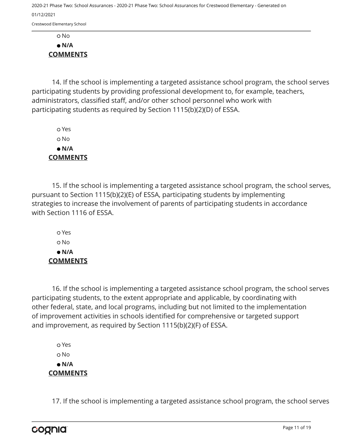Crestwood Elementary School

 No  **N/A COMMENTS**

14. If the school is implementing a targeted assistance school program, the school serves participating students by providing professional development to, for example, teachers, administrators, classified staff, and/or other school personnel who work with participating students as required by Section 1115(b)(2)(D) of ESSA.

 Yes o No  **N/A COMMENTS**

15. If the school is implementing a targeted assistance school program, the school serves, pursuant to Section 1115(b)(2)(E) of ESSA, participating students by implementing strategies to increase the involvement of parents of participating students in accordance with Section 1116 of ESSA.

 Yes o No  **N/A COMMENTS**

16. If the school is implementing a targeted assistance school program, the school serves participating students, to the extent appropriate and applicable, by coordinating with other federal, state, and local programs, including but not limited to the implementation of improvement activities in schools identified for comprehensive or targeted support and improvement, as required by Section 1115(b)(2)(F) of ESSA.

 Yes o No  **N/A COMMENTS**

17. If the school is implementing a targeted assistance school program, the school serves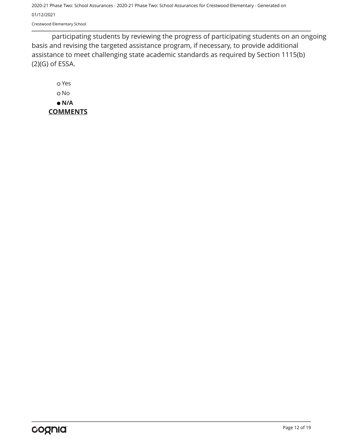Crestwood Elementary School

participating students by reviewing the progress of participating students on an ongoing basis and revising the targeted assistance program, if necessary, to provide additional assistance to meet challenging state academic standards as required by Section 1115(b) (2)(G) of ESSA.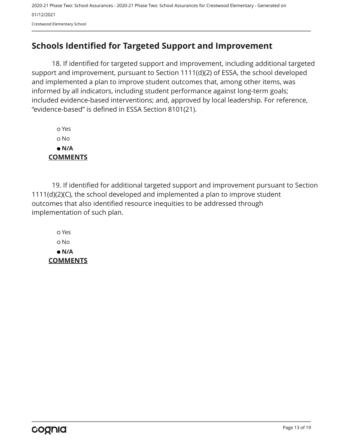### <span id="page-12-0"></span>**Schools Identified for Targeted Support and Improvement**

18. If identified for targeted support and improvement, including additional targeted support and improvement, pursuant to Section 1111(d)(2) of ESSA, the school developed and implemented a plan to improve student outcomes that, among other items, was informed by all indicators, including student performance against long-term goals; included evidence-based interventions; and, approved by local leadership. For reference, "evidence-based" is defined in ESSA Section 8101(21).

 Yes No  **N/A COMMENTS**

19. If identified for additional targeted support and improvement pursuant to Section 1111(d)(2)(C), the school developed and implemented a plan to improve student outcomes that also identified resource inequities to be addressed through implementation of such plan.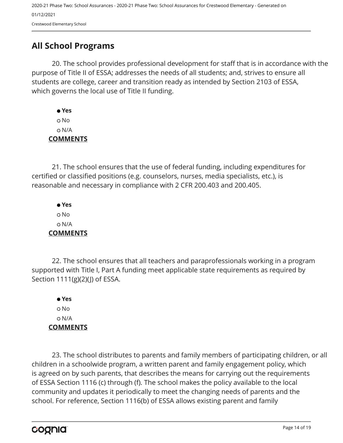### <span id="page-13-0"></span>**All School Programs**

20. The school provides professional development for staff that is in accordance with the purpose of Title II of ESSA; addresses the needs of all students; and, strives to ensure all students are college, career and transition ready as intended by Section 2103 of ESSA, which governs the local use of Title II funding.

 **Yes** No N/A **COMMENTS**

21. The school ensures that the use of federal funding, including expenditures for certified or classified positions (e.g. counselors, nurses, media specialists, etc.), is reasonable and necessary in compliance with 2 CFR 200.403 and 200.405.

 **Yes** No N/A **COMMENTS**

22. The school ensures that all teachers and paraprofessionals working in a program supported with Title I, Part A funding meet applicable state requirements as required by Section 1111(g)(2)(J) of ESSA.

 **Yes** No N/A **COMMENTS**

23. The school distributes to parents and family members of participating children, or all children in a schoolwide program, a written parent and family engagement policy, which is agreed on by such parents, that describes the means for carrying out the requirements of ESSA Section 1116 (c) through (f). The school makes the policy available to the local community and updates it periodically to meet the changing needs of parents and the school. For reference, Section 1116(b) of ESSA allows existing parent and family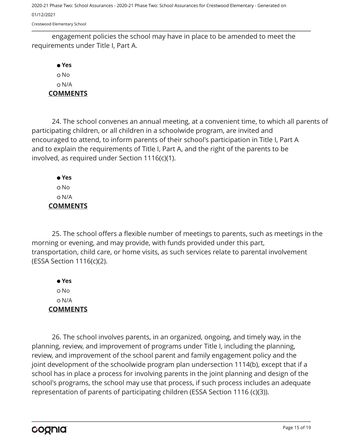Crestwood Elementary School

engagement policies the school may have in place to be amended to meet the requirements under Title I, Part A.

 **Yes** No N/A **COMMENTS**

24. The school convenes an annual meeting, at a convenient time, to which all parents of participating children, or all children in a schoolwide program, are invited and encouraged to attend, to inform parents of their school's participation in Title I, Part A and to explain the requirements of Title I, Part A, and the right of the parents to be involved, as required under Section 1116(c)(1).

 **Yes** No N/A **COMMENTS**

25. The school offers a flexible number of meetings to parents, such as meetings in the morning or evening, and may provide, with funds provided under this part, transportation, child care, or home visits, as such services relate to parental involvement (ESSA Section 1116(c)(2).

 **Yes** No N/A **COMMENTS**

26. The school involves parents, in an organized, ongoing, and timely way, in the planning, review, and improvement of programs under Title I, including the planning, review, and improvement of the school parent and family engagement policy and the joint development of the schoolwide program plan undersection 1114(b), except that if a school has in place a process for involving parents in the joint planning and design of the school's programs, the school may use that process, if such process includes an adequate representation of parents of participating children (ESSA Section 1116 (c)(3)).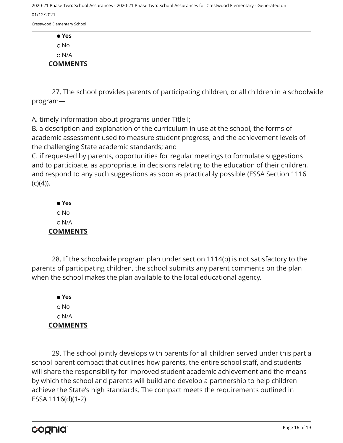Crestwood Elementary School

 **Yes** o No N/A **COMMENTS**

27. The school provides parents of participating children, or all children in a schoolwide program—

A. timely information about programs under Title I;

B. a description and explanation of the curriculum in use at the school, the forms of academic assessment used to measure student progress, and the achievement levels of the challenging State academic standards; and

C. if requested by parents, opportunities for regular meetings to formulate suggestions and to participate, as appropriate, in decisions relating to the education of their children, and respond to any such suggestions as soon as practicably possible (ESSA Section 1116  $(C)(4)$ ).

 **Yes** No N/A **COMMENTS**

28. If the schoolwide program plan under section 1114(b) is not satisfactory to the parents of participating children, the school submits any parent comments on the plan when the school makes the plan available to the local educational agency.

 **Yes** o No N/A **COMMENTS**

29. The school jointly develops with parents for all children served under this part a school-parent compact that outlines how parents, the entire school staff, and students will share the responsibility for improved student academic achievement and the means by which the school and parents will build and develop a partnership to help children achieve the State's high standards. The compact meets the requirements outlined in ESSA 1116(d)(1-2).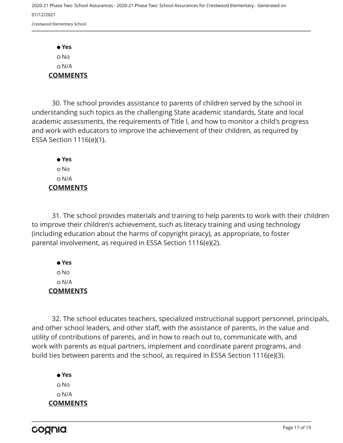**Yes** No N/A **COMMENTS**

30. The school provides assistance to parents of children served by the school in understanding such topics as the challenging State academic standards, State and local academic assessments, the requirements of Title I, and how to monitor a child's progress and work with educators to improve the achievement of their children, as required by ESSA Section 1116(e)(1).

 **Yes** o No N/A **COMMENTS**

31. The school provides materials and training to help parents to work with their children to improve their children's achievement, such as literacy training and using technology (including education about the harms of copyright piracy), as appropriate, to foster parental involvement, as required in ESSA Section 1116(e)(2).

 **Yes** No N/A **COMMENTS**

32. The school educates teachers, specialized instructional support personnel, principals, and other school leaders, and other staff, with the assistance of parents, in the value and utility of contributions of parents, and in how to reach out to, communicate with, and work with parents as equal partners, implement and coordinate parent programs, and build ties between parents and the school, as required in ESSA Section 1116(e)(3).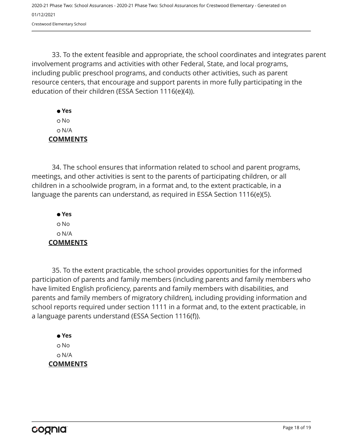33. To the extent feasible and appropriate, the school coordinates and integrates parent involvement programs and activities with other Federal, State, and local programs, including public preschool programs, and conducts other activities, such as parent resource centers, that encourage and support parents in more fully participating in the education of their children (ESSA Section 1116(e)(4)).

 **Yes** No N/A **COMMENTS**

34. The school ensures that information related to school and parent programs, meetings, and other activities is sent to the parents of participating children, or all children in a schoolwide program, in a format and, to the extent practicable, in a language the parents can understand, as required in ESSA Section 1116(e)(5).

 **Yes** o No N/A **COMMENTS**

35. To the extent practicable, the school provides opportunities for the informed participation of parents and family members (including parents and family members who have limited English proficiency, parents and family members with disabilities, and parents and family members of migratory children), including providing information and school reports required under section 1111 in a format and, to the extent practicable, in a language parents understand (ESSA Section 1116(f)).